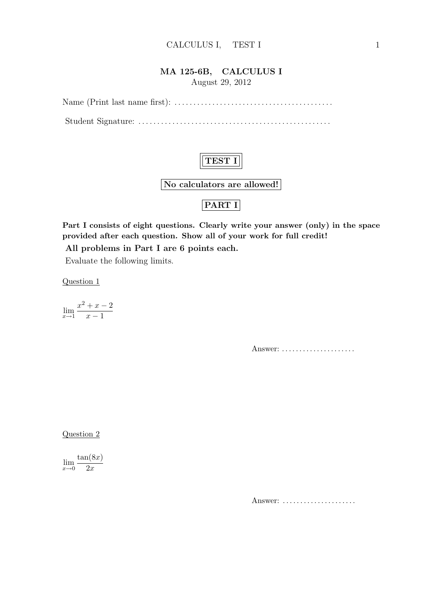#### MA 125-6B, CALCULUS I

August 29, 2012

Name (Print last name first): . . . . . . . . . . . . . . . . . . . . . . . . . . . . . . . . . . . . . . . . . .

Student Signature: . . . . . . . . . . . . . . . . . . . . . . . . . . . . . . . . . . . . . . . . . . . . . . . . . . .



No calculators are allowed!

## PART I

Part I consists of eight questions. Clearly write your answer (only) in the space provided after each question. Show all of your work for full credit!

All problems in Part I are 6 points each.

Evaluate the following limits.

Question 1

$$
\lim_{x \to 1} \frac{x^2 + x - 2}{x - 1}
$$

Answer: ......................

Question 2

 $\lim_{x\to 0}$  $tan(8x)$  $2x$ 

Answer: .....................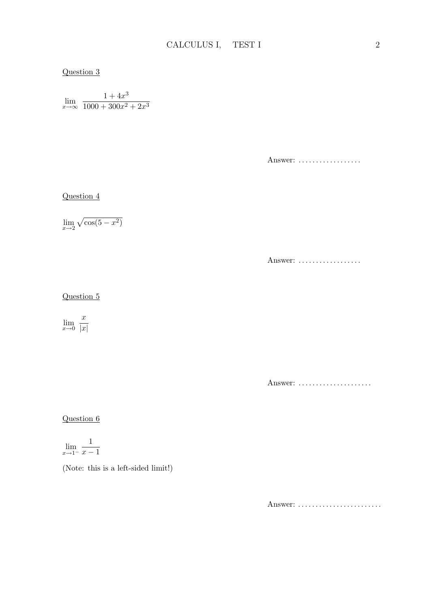#### Question 3

 $\lim_{x \to \infty} \frac{1 + 4x^3}{1000 + 300x^2}$  $1000 + 300x^2 + 2x^3$ 

Answer: ..................

Question 4

 $\lim_{x\to 2}$  $\mathcal{L}$  $\cos(5-x^2)$ 

Answer: ..................

#### Question 5

 $\lim_{x\to 0}$  $\boldsymbol{x}$  $|x|$ 

Answer: ......................

Question 6

$$
\lim_{x \to 1^{-}} \frac{1}{x - 1}
$$

(Note: this is a left-sided limit!)

Answer: ..........................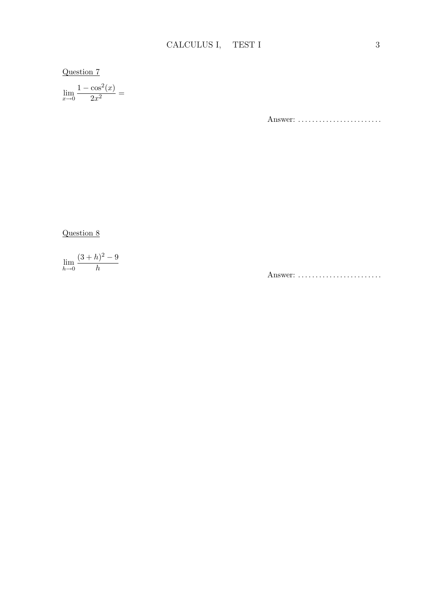## $Question 7$

 $\lim_{x \to 0} \frac{1 - \cos^2(x)}{2x^2} =$ 

Answer: .........................

 $Question 8$ 

$$
\lim_{h \to 0} \frac{(3+h)^2 - 9}{h}
$$

Answer: .........................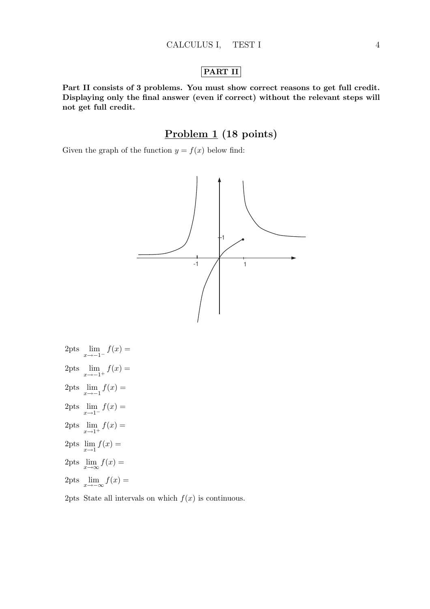### PART II

Part II consists of 3 problems. You must show correct reasons to get full credit. Displaying only the final answer (even if correct) without the relevant steps will not get full credit.

## Problem 1 (18 points)

Given the graph of the function  $y = f(x)$  below find:



2pts 
$$
\lim_{x \to -1^{-}} f(x) =
$$
  
2pts 
$$
\lim_{x \to -1^{+}} f(x) =
$$
  
2pts 
$$
\lim_{x \to -1} f(x) =
$$
  
2pts 
$$
\lim_{x \to 1^{-}} f(x) =
$$
  
2pts 
$$
\lim_{x \to 1^{+}} f(x) =
$$
  
2pts 
$$
\lim_{x \to \infty} f(x) =
$$
  
2pts 
$$
\lim_{x \to \infty} f(x) =
$$
  
2pts 
$$
\lim_{x \to -\infty} f(x) =
$$

2pts State all intervals on which  $f(x)$  is continuous.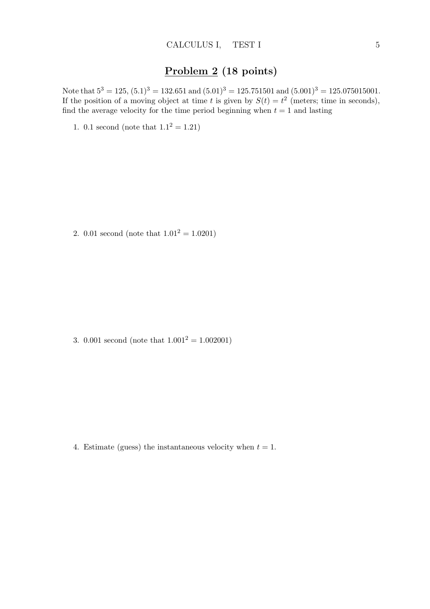# Problem 2 (18 points)

Note that  $5^3 = 125$ ,  $(5.1)^3 = 132.651$  and  $(5.01)^3 = 125.751501$  and  $(5.001)^3 = 125.075015001$ . If the position of a moving object at time t is given by  $S(t) = t^2$  (meters; time in seconds), find the average velocity for the time period beginning when  $t = 1$  and lasting

1. 0.1 second (note that  $1.1^2 = 1.21$ )

2. 0.01 second (note that  $1.01^2 = 1.0201$ )

3. 0.001 second (note that  $1.001^2 = 1.002001$ )

4. Estimate (guess) the instantaneous velocity when  $t = 1$ .